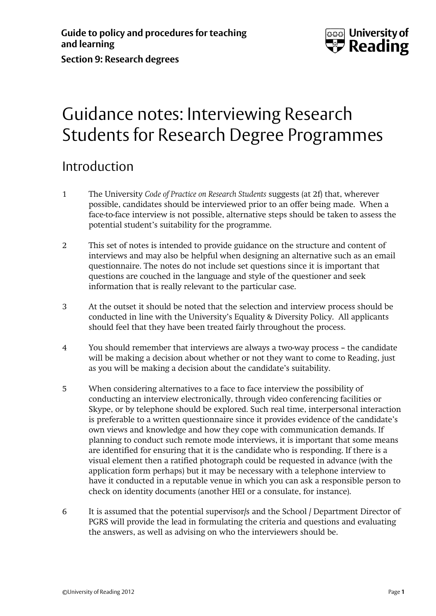

## Guidance notes: Interviewing Research Students for Research Degree Programmes

## Introduction

- 1 The University *Code of Practice on Research Students* suggests (at 2f) that, wherever possible, candidates should be interviewed prior to an offer being made. When a face-to-face interview is not possible, alternative steps should be taken to assess the potential student's suitability for the programme.
- 2 This set of notes is intended to provide guidance on the structure and content of interviews and may also be helpful when designing an alternative such as an email questionnaire. The notes do not include set questions since it is important that questions are couched in the language and style of the questioner and seek information that is really relevant to the particular case.
- 3 At the outset it should be noted that the selection and interview process should be conducted in line with the University's Equality & Diversity Policy. All applicants should feel that they have been treated fairly throughout the process.
- 4 You should remember that interviews are always a two-way process the candidate will be making a decision about whether or not they want to come to Reading, just as you will be making a decision about the candidate's suitability.
- 5 When considering alternatives to a face to face interview the possibility of conducting an interview electronically, through video conferencing facilities or Skype, or by telephone should be explored. Such real time, interpersonal interaction is preferable to a written questionnaire since it provides evidence of the candidate's own views and knowledge and how they cope with communication demands. If planning to conduct such remote mode interviews, it is important that some means are identified for ensuring that it is the candidate who is responding. If there is a visual element then a ratified photograph could be requested in advance (with the application form perhaps) but it may be necessary with a telephone interview to have it conducted in a reputable venue in which you can ask a responsible person to check on identity documents (another HEI or a consulate, for instance).
- 6 It is assumed that the potential supervisor/s and the School / Department Director of PGRS will provide the lead in formulating the criteria and questions and evaluating the answers, as well as advising on who the interviewers should be.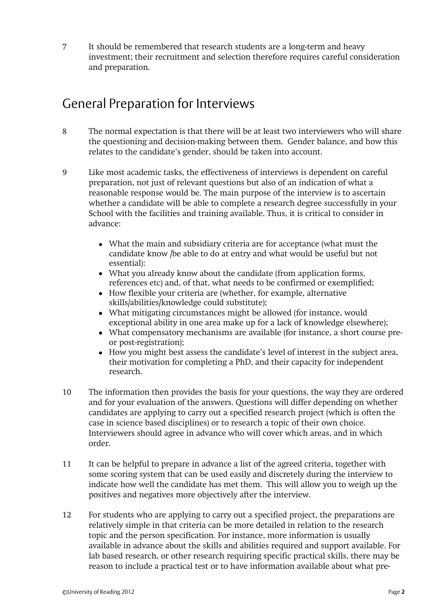7 It should be remembered that research students are a long-term and heavy investment; their recruitment and selection therefore requires careful consideration and preparation.

## General Preparation for Interviews

- 8 The normal expectation is that there will be at least two interviewers who will share the questioning and decision-making between them. Gender balance, and how this relates to the candidate's gender, should be taken into account.
- 9 Like most academic tasks, the effectiveness of interviews is dependent on careful preparation, not just of relevant questions but also of an indication of what a reasonable response would be. The main purpose of the interview is to ascertain whether a candidate will be able to complete a research degree successfully in your School with the facilities and training available. Thus, it is critical to consider in advance:
	- What the main and subsidiary criteria are for acceptance (what must the candidate know /be able to do at entry and what would be useful but not essential):
	- What you already know about the candidate (from application forms, references etc) and, of that, what needs to be confirmed or exemplified;
	- How flexible your criteria are (whether, for example, alternative skills/abilities/knowledge could substitute);
	- What mitigating circumstances might be allowed (for instance, would exceptional ability in one area make up for a lack of knowledge elsewhere);
	- What compensatory mechanisms are available (for instance, a short course preor post-registration);
	- How you might best assess the candidate's level of interest in the subject area, their motivation for completing a PhD, and their capacity for independent research.
- 10 The information then provides the basis for your questions, the way they are ordered and for your evaluation of the answers. Questions will differ depending on whether candidates are applying to carry out a specified research project (which is often the case in science based disciplines) or to research a topic of their own choice. Interviewers should agree in advance who will cover which areas, and in which order.
- 11 It can be helpful to prepare in advance a list of the agreed criteria, together with some scoring system that can be used easily and discretely during the interview to indicate how well the candidate has met them. This will allow you to weigh up the positives and negatives more objectively after the interview.
- 12 For students who are applying to carry out a specified project, the preparations are relatively simple in that criteria can be more detailed in relation to the research topic and the person specification. For instance, more information is usually available in advance about the skills and abilities required and support available. For lab based research, or other research requiring specific practical skills, there may be reason to include a practical test or to have information available about what pre-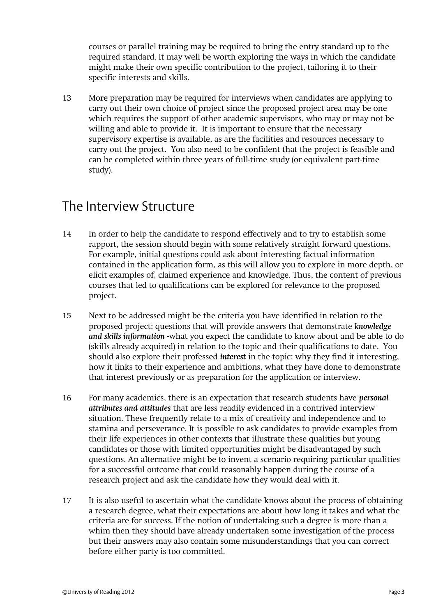courses or parallel training may be required to bring the entry standard up to the required standard. It may well be worth exploring the ways in which the candidate might make their own specific contribution to the project, tailoring it to their specific interests and skills.

13 More preparation may be required for interviews when candidates are applying to carry out their own choice of project since the proposed project area may be one which requires the support of other academic supervisors, who may or may not be willing and able to provide it. It is important to ensure that the necessary supervisory expertise is available, as are the facilities and resources necessary to carry out the project. You also need to be confident that the project is feasible and can be completed within three years of full-time study (or equivalent part-time study).

## The Interview Structure

- 14 In order to help the candidate to respond effectively and to try to establish some rapport, the session should begin with some relatively straight forward questions. For example, initial questions could ask about interesting factual information contained in the application form, as this will allow you to explore in more depth, or elicit examples of, claimed experience and knowledge. Thus, the content of previous courses that led to qualifications can be explored for relevance to the proposed project.
- 15 Next to be addressed might be the criteria you have identified in relation to the proposed project: questions that will provide answers that demonstrate *knowledge and skills information* -what you expect the candidate to know about and be able to do (skills already acquired) in relation to the topic and their qualifications to date. You should also explore their professed *interest* in the topic: why they find it interesting, how it links to their experience and ambitions, what they have done to demonstrate that interest previously or as preparation for the application or interview.
- 16 For many academics, there is an expectation that research students have *personal attributes and attitudes* that are less readily evidenced in a contrived interview situation. These frequently relate to a mix of creativity and independence and to stamina and perseverance. It is possible to ask candidates to provide examples from their life experiences in other contexts that illustrate these qualities but young candidates or those with limited opportunities might be disadvantaged by such questions. An alternative might be to invent a scenario requiring particular qualities for a successful outcome that could reasonably happen during the course of a research project and ask the candidate how they would deal with it.
- 17 It is also useful to ascertain what the candidate knows about the process of obtaining a research degree, what their expectations are about how long it takes and what the criteria are for success. If the notion of undertaking such a degree is more than a whim then they should have already undertaken some investigation of the process but their answers may also contain some misunderstandings that you can correct before either party is too committed.